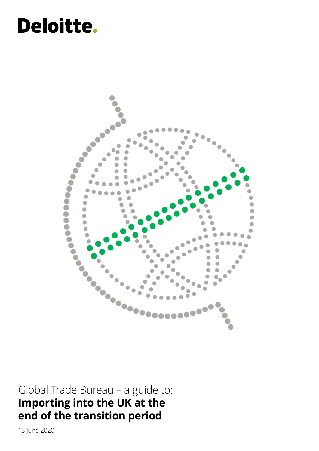# **Deloitte.**



Global Trade Bureau – a guide to: **Importing into the UK at the end of the transition period**

15 June 2020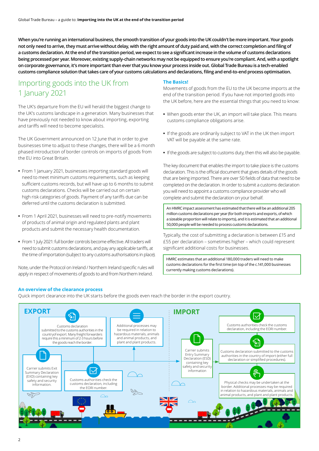**When you're running an international business, the smooth transition of your goods into the UK couldn't be more important. Your goods not only need to arrive, they must arrive without delay, with the right amount of duty paid and, with the correct completion and filing of a customs declaration. At the end of the transition period, we expect to see a significant increase in the volume of customs declarations being processed per year. Moreover, existing supply-chain networks may not be equipped to ensure you're compliant. And, with a spotlight on corporate governance, it's more important than ever that you know your process inside out. Global Trade Bureau is a tech-enabled customs compliance solution that takes care of your customs calculations and declarations, filing and end-to-end process optimisation.** 

## Importing goods into the UK from 1 January 2021

The UK's departure from the EU will herald the biggest change to the UK's customs landscape in a generation. Many businesses that have previously not needed to know about importing, exporting and tariffs will need to become specialists.

The UK Government announced on 12 June that in order to give businesses time to adjust to these changes, there will be a 6 month phased introduction of border controls on imports of goods from the EU into Great Britain.

- **•** From 1 January 2021, businesses importing standard goods will need to meet minimum customs requirements, such as keeping sufficient customs records, but will have up to 6 months to submit customs declarations. Checks will be carried out on certain high risk categories of goods. Payment of any tariffs due can be deferred until the customs declaration is submitted.
- **•** From 1 April 2021, businesses will need to pre-notify movements of products of animal origin and regulated plants and plant products and submit the necessary health documentation.
- **•** From 1 July 2021: full border controls become effective. All traders will need to submit customs declarations, and pay any applicable tariffs, at the time of importation (subject to any customs authorisations in place).

Note, under the Protocol on Ireland / Northern Ireland specific rules will apply in respect of movements of goods to and from Northern Ireland.

#### **The Basics!**

Movements of goods from the EU to the UK become imports at the end of the transition period. If you have not imported goods into the UK before, here are the essential things that you need to know:

- **•** When goods enter the UK, an import will take place. This means customs compliance obligations arise.
- **•** If the goods are ordinarily subject to VAT in the UK then import VAT will be payable at the same rate.
- **•** If the goods are subject to customs duty, then this will also be payable.

The key document that enables the import to take place is the customs declaration. This is the official document that gives details of the goods that are being imported. There are over 50 fields of data that need to be completed on the declaration. In order to submit a customs declaration you will need to appoint a customs compliance provider who will complete and submit the declaration on your behalf.

An HMRC impact assessment has estimated that there will be an additional 205 million customs declarations per year (for both imports and exports, of which a sizeable proportion will relate to imports), and it is estimated that an additional 50,000 people will be needed to process customs declarations.

Typically, the cost of submitting a declaration is between £15 and £55 per declaration – sometimes higher – which could represent significant additional costs for businesses.

HMRC estimates that an additional 180,000 traders will need to make customs declarations for the first time (on top of the c.141,000 businesses currently making customs declarations).

#### **An overview of the clearance process**

Quick import clearance into the UK starts before the goods even reach the border in the export country.

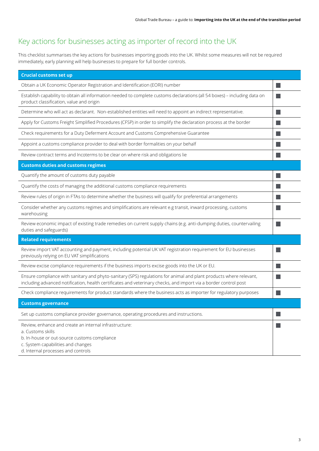# Key actions for businesses acting as importer of record into the UK

This checklist summarises the key actions for businesses importing goods into the UK. Whilst some measures will not be required immediately, early planning will help businesses to prepare for full border controls.

| <b>Crucial customs set up</b>                                                                                                                                                                                                          |  |
|----------------------------------------------------------------------------------------------------------------------------------------------------------------------------------------------------------------------------------------|--|
| Obtain a UK Economic Operator Registration and Identification (EORI) number                                                                                                                                                            |  |
| Establish capability to obtain all information needed to complete customs declarations (all 54 boxes) - including data on<br>product classification, value and origin                                                                  |  |
| Determine who will act as declarant. Non-established entities will need to appoint an indirect representative.                                                                                                                         |  |
| Apply for Customs Freight Simplified Procedures (CFSP) in order to simplify the declaration process at the border                                                                                                                      |  |
| Check requirements for a Duty Deferment Account and Customs Comprehensive Guarantee                                                                                                                                                    |  |
| Appoint a customs compliance provider to deal with border formalities on your behalf                                                                                                                                                   |  |
| Review contract terms and Incoterms to be clear on where risk and obligations lie                                                                                                                                                      |  |
| <b>Customs duties and customs regimes</b>                                                                                                                                                                                              |  |
| Quantify the amount of customs duty payable                                                                                                                                                                                            |  |
| Quantify the costs of managing the additional customs compliance requirements                                                                                                                                                          |  |
| Review rules of origin in FTAs to determine whether the business will qualify for preferential arrangements                                                                                                                            |  |
| Consider whether any customs regimes and simplifications are relevant e.g transit, inward processing, customs<br>warehousing                                                                                                           |  |
| Review economic impact of existing trade remedies on current supply chains (e.g. anti-dumping duties, countervailing<br>duties and safeguards)                                                                                         |  |
| <b>Related requirements</b>                                                                                                                                                                                                            |  |
| Review import VAT accounting and payment, including potential UK VAT registration requirement for EU businesses<br>previously relying on EU VAT simplifications                                                                        |  |
| Review excise compliance requirements if the business imports excise goods into the UK or EU.                                                                                                                                          |  |
| Ensure compliance with sanitary and phyto-sanitary (SPS) regulations for animal and plant products where relevant,<br>including advanced notification, health certificates and veterinary checks, and import via a border control post |  |
| Check compliance requirements for product standards where the business acts as importer for regulatory purposes                                                                                                                        |  |
| <b>Customs governance</b>                                                                                                                                                                                                              |  |
| Set up customs compliance provider governance, operating procedures and instructions.                                                                                                                                                  |  |
| Review, enhance and create an internal infrastructure:<br>a. Customs skills<br>b. In-house or out-source customs compliance<br>c. System capabilities and changes<br>d. Internal processes and controls                                |  |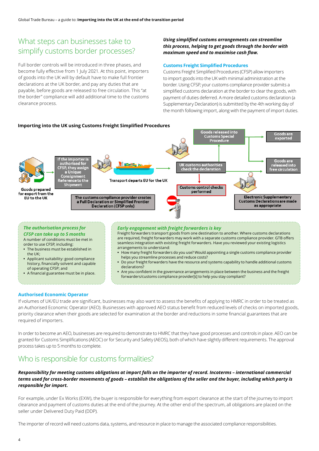## What steps can businesses take to simplify customs border processes?

Full border controls will be introduced in three phases, and become fully effective from 1 July 2021. At this point, importers of goods into the UK will by default have to make full frontier declarations at the UK border, and pay any duties that are payable, before goods are released to free circulation. This "at the border" compliance will add additional time to the customs clearance process.

## *Using simplified customs arrangements can streamline this process, helping to get goods through the border with maximum speed and to maximise cash flow.*

#### **Customs Freight Simplified Procedures**

Customs Freight Simplified Procedures (CFSP) allow importers to import goods into the UK with minimal administration at the border. Using CFSP, your customs compliance provider submits a simplified customs declaration at the border to clear the goods, with payment of duties deferred. A more detailed customs declaration (a Supplementary Declaration) is submitted by the 4th working day of the month following import, along with the payment of import duties.



**•** A financial guarantee must be in place. **•** Are you confident in the governance arrangements in place between the business and the freight forwarders/customs compliance provider[s] to help you stay compliant?

## **Authorised Economic Operator**

If volumes of UK/EU trade are significant, businesses may also want to assess the benefits of applying to HMRC in order to be treated as an Authorised Economic Operator (AEO). Businesses with approved AEO status benefit from reduced levels of checks on imported goods, priority clearance when their goods are selected for examination at the border and reductions in some financial guarantees that are required of importers.

In order to become an AEO, businesses are required to demonstrate to HMRC that they have good processes and controls in place. AEO can be granted for Customs Simplifications (AEOC) or for Security and Safety (AEOS), both of which have slightly different requirements. The approval process takes up to 5 months to complete.

# Who is responsible for customs formalities?

## *Responsibility for meeting customs obligations at import falls on the importer of record. Incoterms – international commercial terms used for cross-border movements of goods – establish the obligations of the seller and the buyer, including which party is responsible for import.*

For example, under Ex Works (EXW), the buyer is responsible for everything from export clearance at the start of the journey to import clearance and payment of customs duties at the end of the journey. At the other end of the spectrum, all obligations are placed on the seller under Delivered Duty Paid (DDP).

The importer of record will need customs data, systems, and resource in place to manage the associated compliance responsibilities.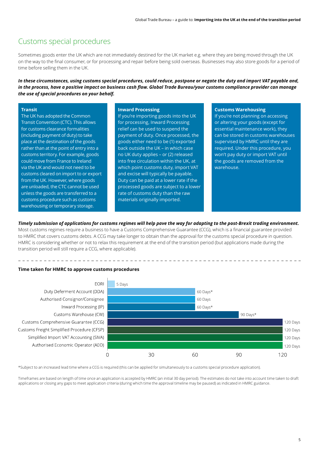## Customs special procedures

Sometimes goods enter the UK which are not immediately destined for the UK market e.g. where they are being moved through the UK on the way to the final consumer, or for processing and repair before being sold overseas. Businesses may also store goods for a period of time before selling them in the UK.

*In these circumstances, using customs special procedures, could reduce, postpone or negate the duty and import VAT payable and, in the process, have a positive impact on business cash flow. Global Trade Bureau/your customs compliance provider can manage the use of special procedures on your behalf.*

### **Transit**

The UK has adopted the Common Transit Convention (CTC). This allows for customs clearance formalities (including payment of duty) to take place at the destination of the goods rather than at the point of entry into a customs territory. For example, goods could move from France to Ireland via the UK and would not need to be customs cleared on import to or export from the UK. However, where goods are unloaded, the CTC cannot be used unless the goods are transferred to a customs procedure such as customs warehousing or temporary storage.

#### **Inward Processing**

If you're importing goods into the UK for processing, Inward Processing relief can be used to suspend the payment of duty. Once processed, the goods either need to be (1) exported back outside the UK – in which case no UK duty applies – or (2) released into free circulation within the UK, at which point customs duty, import VAT and excise will typically be payable. Duty can be paid at a lower rate if the processed goods are subject to a lower rate of customs duty than the raw materials originally imported.

#### **Customs Warehousing**

If you're not planning on accessing or altering your goods (except for essential maintenance work), they can be stored in customs warehouses supervised by HMRC until they are required. Under this procedure, you won't pay duty or import VAT until the goods are removed from the warehouse.

#### *Timely submission of applications for customs regimes will help pave the way for adapting to the post-Brexit trading environment.*

Most customs regimes require a business to have a Customs Comprehensive Guarantee (CCG), which is a financial guarantee provided to HMRC that covers customs debts. A CCG may take longer to obtain than the approval for the customs special procedure in question. HMRC is considering whether or not to relax this requirement at the end of the transition period (but applications made during the transition period will still require a CCG, where applicable).

#### **Time taken for HMRC to approve customs procedures**



\*Subject to an increased lead time where a CCG is required (this can be applied for simultaneously to a customs special procedure application).

Timeframes are based on length of time once an application is accepted by HMRC (an initial 30 day period). The estimates do not take into account time taken to draft applications or closing any gaps to meet application criteria (during which time the approval timeline may be paused) as indicated in HMRC guidance.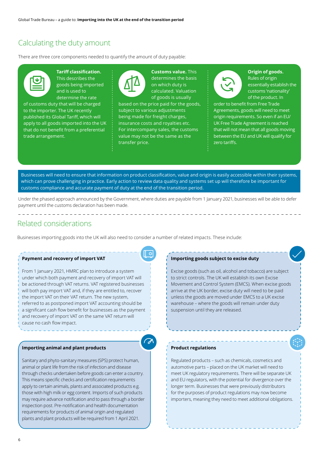## Calculating the duty amount

There are three core components needed to quantify the amount of duty payable:



**Tariff classification.**  This describes the goods being imported and is used to determine the rate

of customs duty that will be charged to the importer. The UK recently published its Global Tariff, which will apply to all goods imported into the UK that do not benefit from a preferential trade arrangement.



**Customs value.** This determines the basis on which duty is calculated. Valuation of goods is usually

based on the price paid for the goods, subject to various adjustments being made for freight charges, insurance costs and royalties etc. For intercompany sales, the customs value may not be the same as the transfer price.



**Origin of goods.**  Rules of origin essentially establish the customs 'nationality' of the product. In

order to benefit from Free Trade Agreements, goods will need to meet origin requirements. So even if an EU/ UK Free Trade Agreement is reached that will not mean that all goods moving between the EU and UK will qualify for zero tariffs.

Businesses will need to ensure that information on product classification, value and origin is easily accessible within their systems, which can prove challenging in practice. Early action to review data quality and systems set up will therefore be important for customs compliance and accurate payment of duty at the end of the transition period.

Under the phased approach announced by the Government, where duties are payable from 1 January 2021, businesses will be able to defer payment until the customs declaration has been made.

## Related considerations

Businesses importing goods into the UK will also need to consider a number of related impacts. These include:

\_\_\_\_\_\_\_\_\_\_\_\_\_\_\_\_\_\_\_\_\_\_\_\_\_\_\_\_\_\_\_\_\_\_\_

#### **Payment and recovery of import VAT**

From 1 January 2021, HMRC plan to introduce a system under which both payment and recovery of import VAT will be actioned through VAT returns. VAT registered businesses will both pay import VAT and, if they are entitled to, recover the import VAT on their VAT return. The new system, referred to as postponed import VAT accounting should be a significant cash flow benefit for businesses as the payment and recovery of import VAT on the same VAT return will cause no cash flow impact.

#### **Importing animal and plant products**

Sanitary and phyto-sanitary measures (SPS) protect human, animal or plant life from the risk of infection and disease through checks undertaken before goods can enter a country. This means specific checks and certification requirements apply to certain animals, plants and associated products e.g. those with high milk or egg content. Imports of such products may require advance notification and to pass through a border inspection post. Pre-notification and health documentation requirements for products of animal origin and regulated plants and plant products will be required from 1 April 2021.

#### **Importing goods subject to excise duty**

Excise goods (such as oil, alcohol and tobacco) are subject to strict controls. The UK will establish its own Excise Movement and Control System (EMCS). When excise goods arrive at the UK border, excise duty will need to be paid unless the goods are moved under EMCS to a UK excise warehouse – where the goods will remain under duty suspension until they are released.

#### **Product regulations**

Regulated products – such as chemicals, cosmetics and automotive parts – placed on the UK market will need to meet UK regulatory requirements. There will be separate UK and EU regulators, with the potential for divergence over the longer term. Businesses that were previously distributors for the purposes of product regulations may now become importers, meaning they need to meet additional obligations.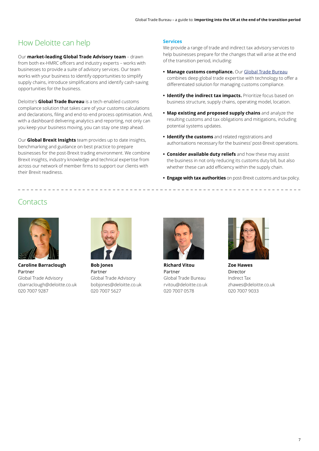# How Deloitte can help

Our **market-leading Global Trade Advisory team** – drawn from both ex-HMRC officers and industry experts – works with businesses to provide a suite of advisory services. Our team works with your business to identify opportunities to simplify supply chains, introduce simplifications and identify cash-saving opportunities for the business.

Deloitte's **Global Trade Bureau** is a tech-enabled customs compliance solution that takes care of your customs calculations and declarations, filing and end-to-end process optimisation. And, with a dashboard delivering analytics and reporting, not only can you keep your business moving, you can stay one step ahead.

Our **Global Brexit Insights** team provides up to date insights, benchmarking and guidance on best practice to prepare businesses for the post-Brexit trading environment. We combine Brexit insights, industry knowledge and technical expertise from across our network of member firms to support our clients with their Brexit readiness.

## **Services**

We provide a range of trade and indirect tax advisory services to help businesses prepare for the changes that will arise at the end of the transition period, including:

- **• Manage customs compliance.** Our [Global Trade Bureau](https://www2.deloitte.com/uk/en/pages/tax/solutions/globaltradebureau.html ) combines deep global trade expertise with technology to offer a differentiated solution for managing customs compliance.
- **• Identify the indirect tax impacts.** Prioritize focus based on business structure, supply chains, operating model, location.
- **• Map existing and proposed supply chains** and analyze the resulting customs and tax obligations and mitigations, including potential systems updates.
- **• Identify the customs** and related registrations and authorisations necessary for the business' post-Brexit operations.
- **• Consider available duty reliefs** and how these may assist the business in not only reducing its customs duty bill, but also whether these can add efficiency within the supply chain.
- **• Engage with tax authorities** on post-Brexit customs and tax policy.

# **Contacts**

\_ \_ \_ \_ \_ \_ \_ \_ \_ \_ \_ \_ \_



**Caroline Barraclough** Partner Global Trade Advisory cbarraclough@deloitte.co.uk 020 7007 9287



**Bob Jones** Partner Global Trade Advisory bobjones@deloitte.co.uk 020 7007 5627



**Richard Vitou** Partner Global Trade Bureau rvitou@deloitte.co.uk 020 7007 0578



**Zoe Hawes** Director Indirect Tax zhawes@deloitte.co.uk 020 7007 9033